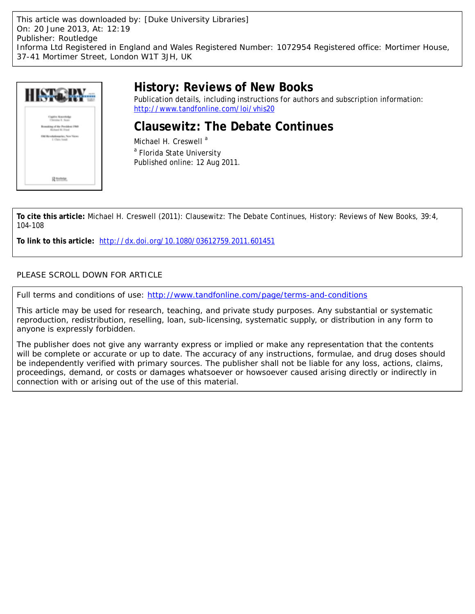

## **History: Reviews of New Books**

Publication details, including instructions for authors and subscription information: <http://www.tandfonline.com/loi/vhis20>

## **Clausewitz: The Debate Continues**

Michael H. Creswell<sup>a</sup> <sup>a</sup> Florida State University Published online: 12 Aug 2011.

**To cite this article:** Michael H. Creswell (2011): Clausewitz: The Debate Continues, History: Reviews of New Books, 39:4, 104-108

**To link to this article:** <http://dx.doi.org/10.1080/03612759.2011.601451>

### PLEASE SCROLL DOWN FOR ARTICLE

Full terms and conditions of use:<http://www.tandfonline.com/page/terms-and-conditions>

This article may be used for research, teaching, and private study purposes. Any substantial or systematic reproduction, redistribution, reselling, loan, sub-licensing, systematic supply, or distribution in any form to anyone is expressly forbidden.

The publisher does not give any warranty express or implied or make any representation that the contents will be complete or accurate or up to date. The accuracy of any instructions, formulae, and drug doses should be independently verified with primary sources. The publisher shall not be liable for any loss, actions, claims, proceedings, demand, or costs or damages whatsoever or howsoever caused arising directly or indirectly in connection with or arising out of the use of this material.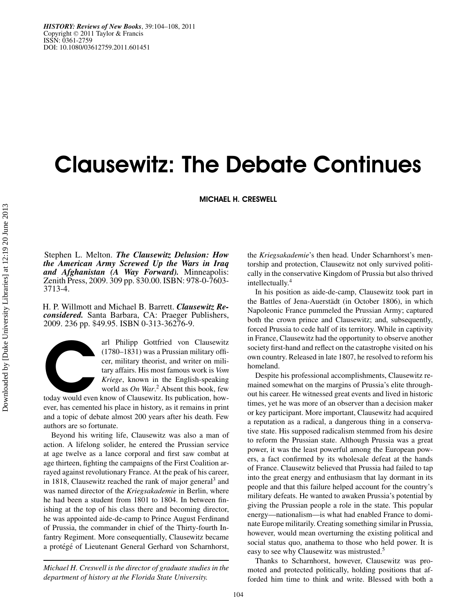# Clausewitz: The Debate Continues

MICHAEL H. CRESWELL

Stephen L. Melton. *The Clausewitz Delusion: How the American Army Screwed Up the Wars in Iraq and Afghanistan (A Way Forward).* Minneapolis: Zenith Press, 2009. 309 pp. \$30.00. ISBN: 978-0-7603- 3713-4.

H. P. Willmott and Michael B. Barrett. *Clausewitz Reconsidered.* Santa Barbara, CA: Praeger Publishers, 2009. 236 pp. \$49.95. ISBN 0-313-36276-9.



arl Philipp Gottfried von Clausewitz<br>
(1780–1831) was a Prussian military offi-<br>
cer, military theorist, and writer on mili-<br>
tary affairs. His most famous work is Vom<br>
Kriege, known in the English-speaking<br>
world as On Wa (1780–1831) was a Prussian military officer, military theorist, and writer on military affairs. His most famous work is *Vom Kriege*, known in the English-speaking world as *On War*. <sup>2</sup> Absent this book, few

today would even know of Clausewitz. Its publication, however, has cemented his place in history, as it remains in print and a topic of debate almost 200 years after his death. Few authors are so fortunate.

Beyond his writing life, Clausewitz was also a man of action. A lifelong solider, he entered the Prussian service at age twelve as a lance corporal and first saw combat at age thirteen, fighting the campaigns of the First Coalition arrayed against revolutionary France. At the peak of his career, in 1818, Clausewitz reached the rank of major general<sup>3</sup> and was named director of the *Kriegsakademie* in Berlin, where he had been a student from 1801 to 1804. In between finishing at the top of his class there and becoming director, he was appointed aide-de-camp to Prince August Ferdinand of Prussia, the commander in chief of the Thirty-fourth Infantry Regiment. More consequentially, Clausewitz became a protégé of Lieutenant General Gerhard von Scharnhorst,

the *Kriegsakademie*'s then head. Under Scharnhorst's mentorship and protection, Clausewitz not only survived politically in the conservative Kingdom of Prussia but also thrived intellectually.<sup>4</sup>

In his position as aide-de-camp, Clausewitz took part in the Battles of Jena-Auerstädt (in October 1806), in which Napoleonic France pummeled the Prussian Army; captured both the crown prince and Clausewitz; and, subsequently, forced Prussia to cede half of its territory. While in captivity in France, Clausewitz had the opportunity to observe another society first-hand and reflect on the catastrophe visited on his own country. Released in late 1807, he resolved to reform his homeland.

Despite his professional accomplishments, Clausewitz remained somewhat on the margins of Prussia's elite throughout his career. He witnessed great events and lived in historic times, yet he was more of an observer than a decision maker or key participant. More important, Clausewitz had acquired a reputation as a radical, a dangerous thing in a conservative state. His supposed radicalism stemmed from his desire to reform the Prussian state. Although Prussia was a great power, it was the least powerful among the European powers, a fact confirmed by its wholesale defeat at the hands of France. Clausewitz believed that Prussia had failed to tap into the great energy and enthusiasm that lay dormant in its people and that this failure helped account for the country's military defeats. He wanted to awaken Prussia's potential by giving the Prussian people a role in the state. This popular energy—nationalism—is what had enabled France to dominate Europe militarily. Creating something similar in Prussia, however, would mean overturning the existing political and social status quo, anathema to those who held power. It is easy to see why Clausewitz was mistrusted.<sup>5</sup>

Thanks to Scharnhorst, however, Clausewitz was promoted and protected politically, holding positions that afforded him time to think and write. Blessed with both a

*Michael H. Creswell is the director of graduate studies in the department of history at the Florida State University.*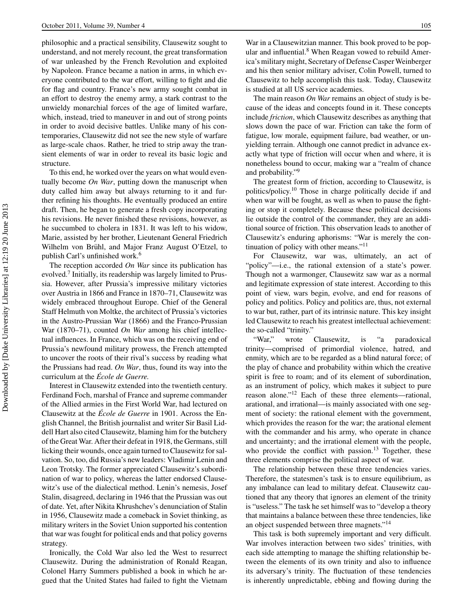philosophic and a practical sensibility, Clausewitz sought to understand, and not merely recount, the great transformation of war unleashed by the French Revolution and exploited by Napoleon. France became a nation in arms, in which everyone contributed to the war effort, willing to fight and die for flag and country. France's new army sought combat in an effort to destroy the enemy army, a stark contrast to the unwieldy monarchial forces of the age of limited warfare, which, instead, tried to maneuver in and out of strong points in order to avoid decisive battles. Unlike many of his contemporaries, Clausewitz did not see the new style of warfare as large-scale chaos. Rather, he tried to strip away the transient elements of war in order to reveal its basic logic and structure.

To this end, he worked over the years on what would eventually become *On War*, putting down the manuscript when duty called him away but always returning to it and further refining his thoughts. He eventually produced an entire draft. Then, he began to generate a fresh copy incorporating his revisions. He never finished these revisions, however, as he succumbed to cholera in 1831. It was left to his widow, Marie, assisted by her brother, Lieutenant General Friedrich Wilhelm von Brühl, and Major Franz August O'Etzel, to publish Carl's unfinished work.<sup>6</sup>

The reception accorded *On War* since its publication has evolved.<sup>7</sup> Initially, its readership was largely limited to Prussia. However, after Prussia's impressive military victories over Austria in 1866 and France in 1870–71, Clausewitz was widely embraced throughout Europe. Chief of the General Staff Helmuth von Moltke, the architect of Prussia's victories in the Austro-Prussian War (1866) and the Franco-Prussian War (1870–71), counted *On War* among his chief intellectual influences. In France, which was on the receiving end of Prussia's newfound military prowess, the French attempted to uncover the roots of their rival's success by reading what the Prussians had read. *On War*, thus, found its way into the curriculum at the *Ecole de Guerre. ´*

Interest in Clausewitz extended into the twentieth century. Ferdinand Foch, marshal of France and supreme commander of the Allied armies in the First World War, had lectured on Clausewitz at the *École de Guerre* in 1901. Across the English Channel, the British journalist and writer Sir Basil Liddell Hart also cited Clausewitz, blaming him for the butchery of the Great War. After their defeat in 1918, the Germans, still licking their wounds, once again turned to Clausewitz for salvation. So, too, did Russia's new leaders: Vladimir Lenin and Leon Trotsky. The former appreciated Clausewitz's subordination of war to policy, whereas the latter endorsed Clausewitz's use of the dialectical method. Lenin's nemesis, Josef Stalin, disagreed, declaring in 1946 that the Prussian was out of date. Yet, after Nikita Khrushchev's denunciation of Stalin in 1956, Clausewitz made a comeback in Soviet thinking, as military writers in the Soviet Union supported his contention that war was fought for political ends and that policy governs strategy.

Ironically, the Cold War also led the West to resurrect Clausewitz. During the administration of Ronald Reagan, Colonel Harry Summers published a book in which he argued that the United States had failed to fight the Vietnam

War in a Clausewitzian manner. This book proved to be popular and influential.<sup>8</sup> When Reagan vowed to rebuild America's military might, Secretary of Defense Casper Weinberger and his then senior military adviser, Colin Powell, turned to Clausewitz to help accomplish this task. Today, Clausewitz is studied at all US service academies.

The main reason *On War* remains an object of study is because of the ideas and concepts found in it. These concepts include *friction*, which Clausewitz describes as anything that slows down the pace of war. Friction can take the form of fatigue, low morale, equipment failure, bad weather, or unyielding terrain. Although one cannot predict in advance exactly what type of friction will occur when and where, it is nonetheless bound to occur, making war a "realm of chance and probability."9

The greatest form of friction, according to Clausewitz, is politics/policy.<sup>10</sup> Those in charge politically decide if and when war will be fought, as well as when to pause the fighting or stop it completely. Because these political decisions lie outside the control of the commander, they are an additional source of friction. This observation leads to another of Clausewitz's enduring aphorisms: "War is merely the continuation of policy with other means."11

For Clausewitz, war was, ultimately, an act of "policy"—i.e., the rational extension of a state's power. Though not a warmonger, Clausewitz saw war as a normal and legitimate expression of state interest. According to this point of view, wars begin, evolve, and end for reasons of policy and politics. Policy and politics are, thus, not external to war but, rather, part of its intrinsic nature. This key insight led Clausewitz to reach his greatest intellectual achievement: the so-called "trinity."

"War," wrote Clausewitz, is "a paradoxical trinity—comprised of primordial violence, hatred, and enmity, which are to be regarded as a blind natural force; of the play of chance and probability within which the creative spirit is free to roam; and of its element of subordination, as an instrument of policy, which makes it subject to pure reason alone."12 Each of these three elements—rational, arational, and irrational—is mainly associated with one segment of society: the rational element with the government, which provides the reason for the war; the arational element with the commander and his army, who operate in chance and uncertainty; and the irrational element with the people, who provide the conflict with passion.<sup>13</sup> Together, these three elements comprise the political aspect of war.

The relationship between these three tendencies varies. Therefore, the statesmen's task is to ensure equilibrium, as any imbalance can lead to military defeat. Clausewitz cautioned that any theory that ignores an element of the trinity is "useless." The task he set himself was to "develop a theory that maintains a balance between these three tendencies, like an object suspended between three magnets."14

This task is both supremely important and very difficult. War involves interaction between two sides' trinities, with each side attempting to manage the shifting relationship between the elements of its own trinity and also to influence its adversary's trinity. The fluctuation of these tendencies is inherently unpredictable, ebbing and flowing during the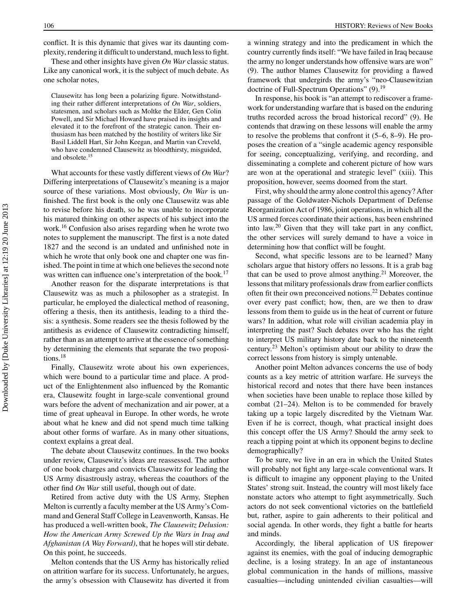conflict. It is this dynamic that gives war its daunting complexity, rendering it difficult to understand, much less to fight.

These and other insights have given *On War* classic status. Like any canonical work, it is the subject of much debate. As one scholar notes,

Clausewitz has long been a polarizing figure. Notwithstanding their rather different interpretations of *On War*, soldiers, statesmen, and scholars such as Moltke the Elder, Gen Colin Powell, and Sir Michael Howard have praised its insights and elevated it to the forefront of the strategic canon. Their enthusiasm has been matched by the hostility of writers like Sir Basil Liddell Hart, Sir John Keegan, and Martin van Creveld, who have condemned Clausewitz as bloodthirsty, misguided, and obsolete.15

What accounts for these vastly different views of *On War*? Differing interpretations of Clausewitz's meaning is a major source of these variations. Most obviously, *On War* is unfinished. The first book is the only one Clausewitz was able to revise before his death, so he was unable to incorporate his matured thinking on other aspects of his subject into the work.<sup>16</sup> Confusion also arises regarding when he wrote two notes to supplement the manuscript. The first is a note dated 1827 and the second is an undated and unfinished note in which he wrote that only book one and chapter one was finished. The point in time at which one believes the second note was written can influence one's interpretation of the book.<sup>17</sup>

Another reason for the disparate interpretations is that Clausewitz was as much a philosopher as a strategist. In particular, he employed the dialectical method of reasoning, offering a thesis, then its antithesis, leading to a third thesis: a synthesis. Some readers see the thesis followed by the antithesis as evidence of Clausewitz contradicting himself, rather than as an attempt to arrive at the essence of something by determining the elements that separate the two propositions.<sup>18</sup>

Finally, Clausewitz wrote about his own experiences, which were bound to a particular time and place. A product of the Enlightenment also influenced by the Romantic era, Clausewitz fought in large-scale conventional ground wars before the advent of mechanization and air power, at a time of great upheaval in Europe. In other words, he wrote about what he knew and did not spend much time talking about other forms of warfare. As in many other situations, context explains a great deal.

The debate about Clausewitz continues. In the two books under review, Clausewitz's ideas are reassessed. The author of one book charges and convicts Clausewitz for leading the US Army disastrously astray, whereas the coauthors of the other find *On War* still useful, though out of date.

Retired from active duty with the US Army, Stephen Melton is currently a faculty member at the US Army's Command and General Staff College in Leavenworth, Kansas. He has produced a well-written book, *The Clausewitz Delusion: How the American Army Screwed Up the Wars in Iraq and Afghanistan (A Way Forward)*, that he hopes will stir debate. On this point, he succeeds.

Melton contends that the US Army has historically relied on attrition warfare for its success. Unfortunately, he argues, the army's obsession with Clausewitz has diverted it from a winning strategy and into the predicament in which the country currently finds itself: "We have failed in Iraq because the army no longer understands how offensive wars are won" (9). The author blames Clausewitz for providing a flawed framework that undergirds the army's "neo-Clausewitzian doctrine of Full-Spectrum Operations" (9).<sup>19</sup>

In response, his book is "an attempt to rediscover a framework for understanding warfare that is based on the enduring truths recorded across the broad historical record" (9). He contends that drawing on these lessons will enable the army to resolve the problems that confront it (5–6, 8–9). He proposes the creation of a "single academic agency responsible for seeing, conceptualizing, verifying, and recording, and disseminating a complete and coherent picture of how wars are won at the operational and strategic level" (xiii). This proposition, however, seems doomed from the start.

First, why should the army alone control this agency? After passage of the Goldwater-Nichols Department of Defense Reorganization Act of 1986, joint operations, in which all the US armed forces coordinate their actions, has been enshrined into law.<sup>20</sup> Given that they will take part in any conflict, the other services will surely demand to have a voice in determining how that conflict will be fought.

Second, what specific lessons are to be learned? Many scholars argue that history offers no lessons. It is a grab bag that can be used to prove almost anything.<sup>21</sup> Moreover, the lessons that military professionals draw from earlier conflicts often fit their own preconceived notions.22 Debates continue over every past conflict; how, then, are we then to draw lessons from them to guide us in the heat of current or future wars? In addition, what role will civilian academia play in interpreting the past? Such debates over who has the right to interpret US military history date back to the nineteenth century.<sup>23</sup> Melton's optimism about our ability to draw the correct lessons from history is simply untenable.

Another point Melton advances concerns the use of body counts as a key metric of attrition warfare. He surveys the historical record and notes that there have been instances when societies have been unable to replace those killed by combat (21–24). Melton is to be commended for bravely taking up a topic largely discredited by the Vietnam War. Even if he is correct, though, what practical insight does this concept offer the US Army? Should the army seek to reach a tipping point at which its opponent begins to decline demographically?

To be sure, we live in an era in which the United States will probably not fight any large-scale conventional wars. It is difficult to imagine any opponent playing to the United States' strong suit. Instead, the country will most likely face nonstate actors who attempt to fight asymmetrically. Such actors do not seek conventional victories on the battlefield but, rather, aspire to gain adherents to their political and social agenda. In other words, they fight a battle for hearts and minds.

Accordingly, the liberal application of US firepower against its enemies, with the goal of inducing demographic decline, is a losing strategy. In an age of instantaneous global communication in the hands of millions, massive casualties—including unintended civilian casualties—will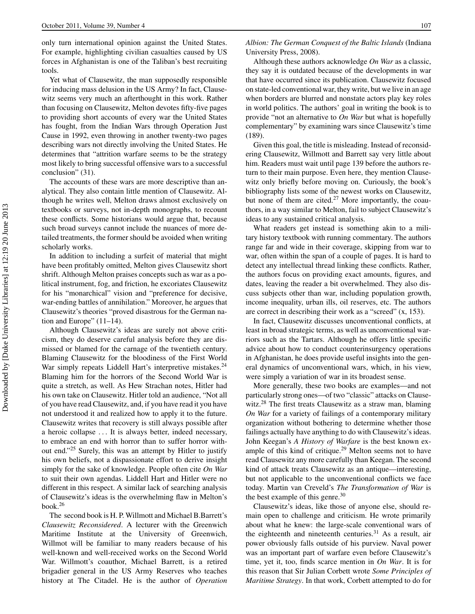only turn international opinion against the United States. For example, highlighting civilian casualties caused by US forces in Afghanistan is one of the Taliban's best recruiting tools.

Yet what of Clausewitz, the man supposedly responsible for inducing mass delusion in the US Army? In fact, Clausewitz seems very much an afterthought in this work. Rather than focusing on Clausewitz, Melton devotes fifty-five pages to providing short accounts of every war the United States has fought, from the Indian Wars through Operation Just Cause in 1992, even throwing in another twenty-two pages describing wars not directly involving the United States. He determines that "attrition warfare seems to be the strategy most likely to bring successful offensive wars to a successful conclusion" (31).

The accounts of these wars are more descriptive than analytical. They also contain little mention of Clausewitz. Although he writes well, Melton draws almost exclusively on textbooks or surveys, not in-depth monographs, to recount these conflicts. Some historians would argue that, because such broad surveys cannot include the nuances of more detailed treatments, the former should be avoided when writing scholarly works.

In addition to including a surfeit of material that might have been profitably omitted, Melton gives Clausewitz short shrift. Although Melton praises concepts such as war as a political instrument, fog, and friction, he excoriates Clausewitz for his "monarchical" vision and "preference for decisive, war-ending battles of annihilation." Moreover, he argues that Clausewitz's theories "proved disastrous for the German nation and Europe"  $(11-14)$ .

Although Clausewitz's ideas are surely not above criticism, they do deserve careful analysis before they are dismissed or blamed for the carnage of the twentieth century. Blaming Clausewitz for the bloodiness of the First World War simply repeats Liddell Hart's interpretive mistakes.<sup>24</sup> Blaming him for the horrors of the Second World War is quite a stretch, as well. As Hew Strachan notes, Hitler had his own take on Clausewitz. Hitler told an audience, "Not all of you have read Clausewitz, and, if you have read it you have not understood it and realized how to apply it to the future. Clausewitz writes that recovery is still always possible after a heroic collapse *...* It is always better, indeed necessary, to embrace an end with horror than to suffer horror without end."<sup>25</sup> Surely, this was an attempt by Hitler to justify his own beliefs, not a dispassionate effort to derive insight simply for the sake of knowledge. People often cite *On War* to suit their own agendas. Liddell Hart and Hitler were no different in this respect. A similar lack of searching analysis of Clausewitz's ideas is the overwhelming flaw in Melton's book.<sup>26</sup>

The second book is H. P. Willmott and Michael B.Barrett's *Clausewitz Reconsidered*. A lecturer with the Greenwich Maritime Institute at the University of Greenwich, Willmot will be familiar to many readers because of his well-known and well-received works on the Second World War. Willmott's coauthor, Michael Barrett, is a retired brigadier general in the US Army Reserves who teaches history at The Citadel. He is the author of *Operation* *Albion: The German Conquest of the Baltic Islands* (Indiana University Press, 2008).

Although these authors acknowledge *On War* as a classic, they say it is outdated because of the developments in war that have occurred since its publication. Clausewitz focused on state-led conventional war, they write, but we live in an age when borders are blurred and nonstate actors play key roles in world politics. The authors' goal in writing the book is to provide "not an alternative to *On War* but what is hopefully complementary" by examining wars since Clausewitz's time (189).

Given this goal, the title is misleading. Instead of reconsidering Clausewitz, Willmott and Barrett say very little about him. Readers must wait until page 139 before the authors return to their main purpose. Even here, they mention Clausewitz only briefly before moving on. Curiously, the book's bibliography lists some of the newest works on Clausewitz, but none of them are cited.<sup>27</sup> More importantly, the coauthors, in a way similar to Melton, fail to subject Clausewitz's ideas to any sustained critical analysis.

What readers get instead is something akin to a military history textbook with running commentary. The authors range far and wide in their coverage, skipping from war to war, often within the span of a couple of pages. It is hard to detect any intellectual thread linking these conflicts. Rather, the authors focus on providing exact amounts, figures, and dates, leaving the reader a bit overwhelmed. They also discuss subjects other than war, including population growth, income inequality, urban ills, oil reserves, etc. The authors are correct in describing their work as a "screed" (x, 153).

In fact, Clausewitz discusses unconventional conflicts, at least in broad strategic terms, as well as unconventional warriors such as the Tartars. Although he offers little specific advice about how to conduct counterinsurgency operations in Afghanistan, he does provide useful insights into the general dynamics of unconventional wars, which, in his view, were simply a variation of war in its broadest sense.

More generally, these two books are examples—and not particularly strong ones—of two "classic" attacks on Clausewitz.<sup>28</sup> The first treats Clausewitz as a straw man, blaming *On War* for a variety of failings of a contemporary military organization without bothering to determine whether those failings actually have anything to do with Clausewitz's ideas. John Keegan's *A History of Warfare* is the best known example of this kind of critique.<sup>29</sup> Melton seems not to have read Clausewitz any more carefully than Keegan. The second kind of attack treats Clausewitz as an antique—interesting, but not applicable to the unconventional conflicts we face today. Martin van Creveld's *The Transformation of War* is the best example of this genre.<sup>30</sup>

Clausewitz's ideas, like those of anyone else, should remain open to challenge and criticism. He wrote primarily about what he knew: the large-scale conventional wars of the eighteenth and nineteenth centuries.<sup>31</sup> As a result, air power obviously falls outside of his purview. Naval power was an important part of warfare even before Clausewitz's time, yet it, too, finds scarce mention in *On War*. It is for this reason that Sir Julian Corbett wrote *Some Principles of Maritime Strategy*. In that work, Corbett attempted to do for